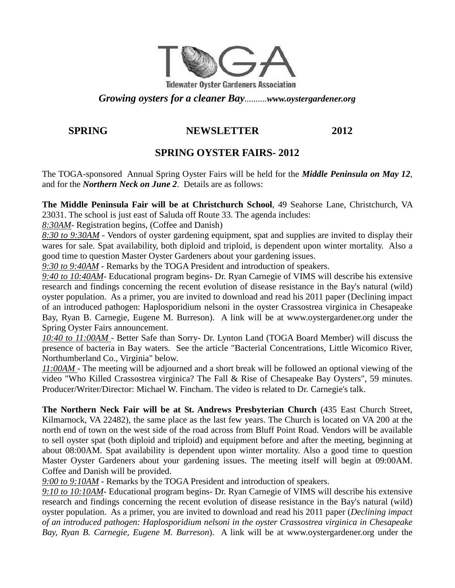

*Growing oysters for a cleaner Bay..........www.oystergardener.org* 

### **SPRING NEWSLETTER 2012**

## **SPRING OYSTER FAIRS- 2012**

The TOGA-sponsored Annual Spring Oyster Fairs will be held for the *Middle Peninsula on May 12*, and for the *Northern Neck on June 2*. Details are as follows:

**The Middle Peninsula Fair will be at Christchurch School**, 49 Seahorse Lane, Christchurch, VA 23031. The school is just east of Saluda off Route 33. The agenda includes:

*8:30AM*- Registration begins, (Coffee and Danish)

*8:30 to 9:30AM* - Vendors of oyster gardening equipment, spat and supplies are invited to display their wares for sale. Spat availability, both diploid and triploid, is dependent upon winter mortality. Also a good time to question Master Oyster Gardeners about your gardening issues.

*9:30 to 9:40AM* - Remarks by the TOGA President and introduction of speakers.

*9:40 to 10:40AM*- Educational program begins- Dr. Ryan Carnegie of VIMS will describe his extensive research and findings concerning the recent evolution of disease resistance in the Bay's natural (wild) oyster population. As a primer, you are invited to download and read his 2011 paper (Declining impact of an introduced pathogen: Haplosporidium nelsoni in the oyster Crassostrea virginica in Chesapeake Bay, Ryan B. Carnegie, Eugene M. Burreson). A link will be at www.oystergardener.org under the Spring Oyster Fairs announcement.

*10:40 to 11:00AM* - Better Safe than Sorry- Dr. Lynton Land (TOGA Board Member) will discuss the presence of bacteria in Bay waters. See the article "Bacterial Concentrations, Little Wicomico River, Northumberland Co., Virginia" below.

*11:00AM* - The meeting will be adjourned and a short break will be followed an optional viewing of the video "Who Killed Crassostrea virginica? The Fall & Rise of Chesapeake Bay Oysters", 59 minutes. Producer/Writer/Director: Michael W. Fincham. The video is related to Dr. Carnegie's talk.

**The Northern Neck Fair will be at St. Andrews Presbyterian Church** (435 East Church Street, Kilmarnock, VA 22482), the same place as the last few years. The Church is located on VA 200 at the north end of town on the west side of the road across from Bluff Point Road. Vendors will be available to sell oyster spat (both diploid and triploid) and equipment before and after the meeting, beginning at about 08:00AM. Spat availability is dependent upon winter mortality. Also a good time to question Master Oyster Gardeners about your gardening issues. The meeting itself will begin at 09:00AM. Coffee and Danish will be provided.

*9:00 to 9:10AM* - Remarks by the TOGA President and introduction of speakers.

*9:10 to 10:10AM*- Educational program begins- Dr. Ryan Carnegie of VIMS will describe his extensive research and findings concerning the recent evolution of disease resistance in the Bay's natural (wild) oyster population. As a primer, you are invited to download and read his 2011 paper (*Declining impact of an introduced pathogen: Haplosporidium nelsoni in the oyster Crassostrea virginica in Chesapeake Bay, Ryan B. Carnegie, Eugene M. Burreson*). A link will be at www.oystergardener.org under the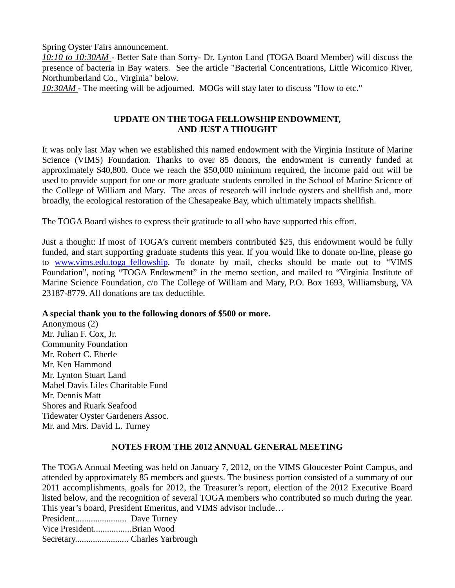Spring Oyster Fairs announcement.

*10:10 to 10:30AM* - Better Safe than Sorry- Dr. Lynton Land (TOGA Board Member) will discuss the presence of bacteria in Bay waters. See the article "Bacterial Concentrations, Little Wicomico River, Northumberland Co., Virginia" below.

*10:30AM -* The meeting will be adjourned. MOGs will stay later to discuss "How to etc."

#### **UPDATE ON THE TOGA FELLOWSHIP ENDOWMENT, AND JUST A THOUGHT**

It was only last May when we established this named endowment with the Virginia Institute of Marine Science (VIMS) Foundation. Thanks to over 85 donors, the endowment is currently funded at approximately \$40,800. Once we reach the \$50,000 minimum required, the income paid out will be used to provide support for one or more graduate students enrolled in the School of Marine Science of the College of William and Mary. The areas of research will include oysters and shellfish and, more broadly, the ecological restoration of the Chesapeake Bay, which ultimately impacts shellfish.

The TOGA Board wishes to express their gratitude to all who have supported this effort.

Just a thought: If most of TOGA's current members contributed \$25, this endowment would be fully funded, and start supporting graduate students this year. If you would like to donate on-line, please go to www.vims.edu.toga\_fellowship. To donate by mail, checks should be made out to "VIMS Foundation", noting "TOGA Endowment" in the memo section, and mailed to "Virginia Institute of Marine Science Foundation, c/o The College of William and Mary, P.O. Box 1693, Williamsburg, VA 23187-8779. All donations are tax deductible.

#### **A special thank you to the following donors of \$500 or more.**

Anonymous (2) Mr. Julian F. Cox, Jr. Community Foundation Mr. Robert C. Eberle Mr. Ken Hammond Mr. Lynton Stuart Land Mabel Davis Liles Charitable Fund Mr. Dennis Matt Shores and Ruark Seafood Tidewater Oyster Gardeners Assoc. Mr. and Mrs. David L. Turney

#### **NOTES FROM THE 2012 ANNUAL GENERAL MEETING**

The TOGA Annual Meeting was held on January 7, 2012, on the VIMS Gloucester Point Campus, and attended by approximately 85 members and guests. The business portion consisted of a summary of our 2011 accomplishments, goals for 2012, the Treasurer's report, election of the 2012 Executive Board listed below, and the recognition of several TOGA members who contributed so much during the year. This year's board, President Emeritus, and VIMS advisor include…

President....................... Dave Turney

Vice President.................Brian Wood

Secretary........................ Charles Yarbrough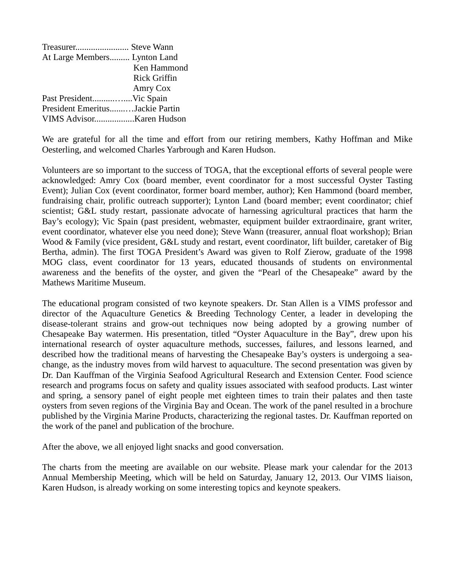| Treasurer Steve Wann            |                     |
|---------------------------------|---------------------|
| At Large Members Lynton Land    |                     |
|                                 | Ken Hammond         |
|                                 | <b>Rick Griffin</b> |
|                                 | Amry Cox            |
|                                 |                     |
| President EmeritusJackie Partin |                     |
|                                 |                     |

We are grateful for all the time and effort from our retiring members, Kathy Hoffman and Mike Oesterling, and welcomed Charles Yarbrough and Karen Hudson.

Volunteers are so important to the success of TOGA, that the exceptional efforts of several people were acknowledged: Amry Cox (board member, event coordinator for a most successful Oyster Tasting Event); Julian Cox (event coordinator, former board member, author); Ken Hammond (board member, fundraising chair, prolific outreach supporter); Lynton Land (board member; event coordinator; chief scientist; G&L study restart, passionate advocate of harnessing agricultural practices that harm the Bay's ecology); Vic Spain (past president, webmaster, equipment builder extraordinaire, grant writer, event coordinator, whatever else you need done); Steve Wann (treasurer, annual float workshop); Brian Wood & Family (vice president, G&L study and restart, event coordinator, lift builder, caretaker of Big Bertha, admin). The first TOGA President's Award was given to Rolf Zierow, graduate of the 1998 MOG class, event coordinator for 13 years, educated thousands of students on environmental awareness and the benefits of the oyster, and given the "Pearl of the Chesapeake" award by the Mathews Maritime Museum.

The educational program consisted of two keynote speakers. Dr. Stan Allen is a VIMS professor and director of the Aquaculture Genetics & Breeding Technology Center, a leader in developing the disease-tolerant strains and grow-out techniques now being adopted by a growing number of Chesapeake Bay watermen. His presentation, titled "Oyster Aquaculture in the Bay", drew upon his international research of oyster aquaculture methods, successes, failures, and lessons learned, and described how the traditional means of harvesting the Chesapeake Bay's oysters is undergoing a seachange, as the industry moves from wild harvest to aquaculture. The second presentation was given by Dr. Dan Kauffman of the Virginia Seafood Agricultural Research and Extension Center. Food science research and programs focus on safety and quality issues associated with seafood products. Last winter and spring, a sensory panel of eight people met eighteen times to train their palates and then taste oysters from seven regions of the Virginia Bay and Ocean. The work of the panel resulted in a brochure published by the Virginia Marine Products, characterizing the regional tastes. Dr. Kauffman reported on the work of the panel and publication of the brochure.

After the above, we all enjoyed light snacks and good conversation.

The charts from the meeting are available on our website. Please mark your calendar for the 2013 Annual Membership Meeting, which will be held on Saturday, January 12, 2013. Our VIMS liaison, Karen Hudson, is already working on some interesting topics and keynote speakers.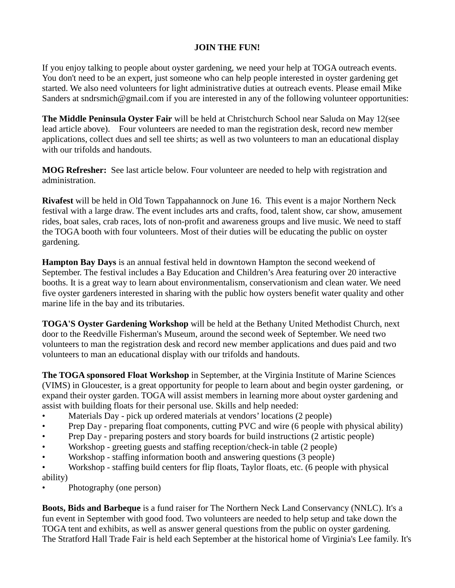#### **JOIN THE FUN!**

If you enjoy talking to people about oyster gardening, we need your help at TOGA outreach events. You don't need to be an expert, just someone who can help people interested in oyster gardening get started. We also need volunteers for light administrative duties at outreach events. Please email Mike Sanders at sndrsmich@gmail.com if you are interested in any of the following volunteer opportunities:

**The Middle Peninsula Oyster Fair** will be held at Christchurch School near Saluda on May 12(see lead article above). Four volunteers are needed to man the registration desk, record new member applications, collect dues and sell tee shirts; as well as two volunteers to man an educational display with our trifolds and handouts.

**MOG Refresher:** See last article below. Four volunteer are needed to help with registration and administration.

**Rivafest** will be held in Old Town Tappahannock on June 16. This event is a major Northern Neck festival with a large draw. The event includes arts and crafts, food, talent show, car show, amusement rides, boat sales, crab races, lots of non-profit and awareness groups and live music. We need to staff the TOGA booth with four volunteers. Most of their duties will be educating the public on oyster gardening.

**Hampton Bay Days** is an annual festival held in downtown Hampton the second weekend of September. The festival includes a Bay Education and Children's Area featuring over 20 interactive booths. It is a great way to learn about environmentalism, conservationism and clean water. We need five oyster gardeners interested in sharing with the public how oysters benefit water quality and other marine life in the bay and its tributaries.

**TOGA'S Oyster Gardening Workshop** will be held at the Bethany United Methodist Church, next door to the Reedville Fisherman's Museum, around the second week of September. We need two volunteers to man the registration desk and record new member applications and dues paid and two volunteers to man an educational display with our trifolds and handouts.

**The TOGA sponsored Float Workshop** in September, at the Virginia Institute of Marine Sciences (VIMS) in Gloucester, is a great opportunity for people to learn about and begin oyster gardening, or expand their oyster garden. TOGA will assist members in learning more about oyster gardening and assist with building floats for their personal use. Skills and help needed:

- Materials Day pick up ordered materials at vendors' locations (2 people)
- Prep Day preparing float components, cutting PVC and wire (6 people with physical ability)
- Prep Day preparing posters and story boards for build instructions (2 artistic people)
- Workshop greeting guests and staffing reception/check-in table (2 people)
- Workshop staffing information booth and answering questions (3 people)
- Workshop staffing build centers for flip floats, Taylor floats, etc. (6 people with physical ability)
- Photography (one person)

**Boots, Bids and Barbeque** is a fund raiser for The Northern Neck Land Conservancy (NNLC). It's a fun event in September with good food. Two volunteers are needed to help setup and take down the TOGA tent and exhibits, as well as answer general questions from the public on oyster gardening. The Stratford Hall Trade Fair is held each September at the historical home of Virginia's Lee family. It's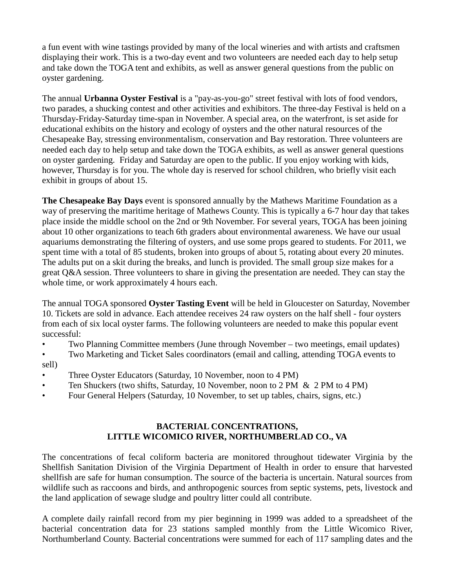a fun event with wine tastings provided by many of the local wineries and with artists and craftsmen displaying their work. This is a two-day event and two volunteers are needed each day to help setup and take down the TOGA tent and exhibits, as well as answer general questions from the public on oyster gardening.

The annual **Urbanna Oyster Festival** is a "pay-as-you-go" street festival with lots of food vendors, two parades, a shucking contest and other activities and exhibitors. The three-day Festival is held on a Thursday-Friday-Saturday time-span in November. A special area, on the waterfront, is set aside for educational exhibits on the history and ecology of oysters and the other natural resources of the Chesapeake Bay, stressing environmentalism, conservation and Bay restoration. Three volunteers are needed each day to help setup and take down the TOGA exhibits, as well as answer general questions on oyster gardening. Friday and Saturday are open to the public. If you enjoy working with kids, however, Thursday is for you. The whole day is reserved for school children, who briefly visit each exhibit in groups of about 15.

**The Chesapeake Bay Days** event is sponsored annually by the Mathews Maritime Foundation as a way of preserving the maritime heritage of Mathews County. This is typically a 6-7 hour day that takes place inside the middle school on the 2nd or 9th November. For several years, TOGA has been joining about 10 other organizations to teach 6th graders about environmental awareness. We have our usual aquariums demonstrating the filtering of oysters, and use some props geared to students. For 2011, we spent time with a total of 85 students, broken into groups of about 5, rotating about every 20 minutes. The adults put on a skit during the breaks, and lunch is provided. The small group size makes for a great Q&A session. Three volunteers to share in giving the presentation are needed. They can stay the whole time, or work approximately 4 hours each.

The annual TOGA sponsored **Oyster Tasting Event** will be held in Gloucester on Saturday, November 10. Tickets are sold in advance. Each attendee receives 24 raw oysters on the half shell - four oysters from each of six local oyster farms. The following volunteers are needed to make this popular event successful:

- Two Planning Committee members (June through November two meetings, email updates)
- Two Marketing and Ticket Sales coordinators (email and calling, attending TOGA events to sell)
- Three Oyster Educators (Saturday, 10 November, noon to 4 PM)
- Ten Shuckers (two shifts, Saturday, 10 November, noon to 2 PM & 2 PM to 4 PM)
- Four General Helpers (Saturday, 10 November, to set up tables, chairs, signs, etc.)

#### **BACTERIAL CONCENTRATIONS, LITTLE WICOMICO RIVER, NORTHUMBERLAD CO., VA**

The concentrations of fecal coliform bacteria are monitored throughout tidewater Virginia by the Shellfish Sanitation Division of the Virginia Department of Health in order to ensure that harvested shellfish are safe for human consumption. The source of the bacteria is uncertain. Natural sources from wildlife such as raccoons and birds, and anthropogenic sources from septic systems, pets, livestock and the land application of sewage sludge and poultry litter could all contribute.

A complete daily rainfall record from my pier beginning in 1999 was added to a spreadsheet of the bacterial concentration data for 23 stations sampled monthly from the Little Wicomico River, Northumberland County. Bacterial concentrations were summed for each of 117 sampling dates and the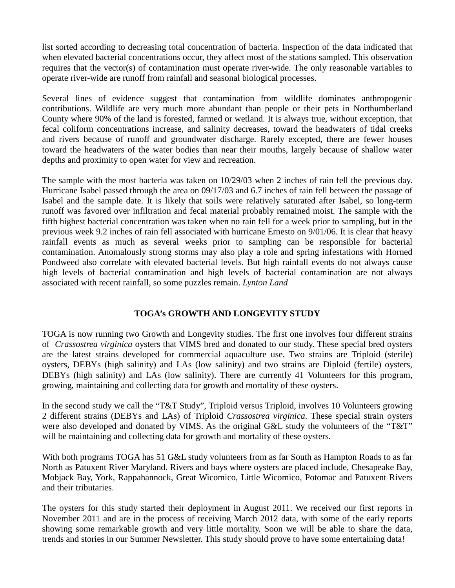list sorted according to decreasing total concentration of bacteria. Inspection of the data indicated that when elevated bacterial concentrations occur, they affect most of the stations sampled. This observation requires that the vector(s) of contamination must operate river-wide. The only reasonable variables to operate river-wide are runoff from rainfall and seasonal biological processes.

Several lines of evidence suggest that contamination from wildlife dominates anthropogenic contributions. Wildlife are very much more abundant than people or their pets in Northumberland County where 90% of the land is forested, farmed or wetland. It is always true, without exception, that fecal coliform concentrations increase, and salinity decreases, toward the headwaters of tidal creeks and rivers because of runoff and groundwater discharge. Rarely excepted, there are fewer houses toward the headwaters of the water bodies than near their mouths, largely because of shallow water depths and proximity to open water for view and recreation.

The sample with the most bacteria was taken on 10/29/03 when 2 inches of rain fell the previous day. Hurricane Isabel passed through the area on 09/17/03 and 6.7 inches of rain fell between the passage of Isabel and the sample date. It is likely that soils were relatively saturated after Isabel, so long-term runoff was favored over infiltration and fecal material probably remained moist. The sample with the fifth highest bacterial concentration was taken when no rain fell for a week prior to sampling, but in the previous week 9.2 inches of rain fell associated with hurricane Ernesto on 9/01/06. It is clear that heavy rainfall events as much as several weeks prior to sampling can be responsible for bacterial contamination. Anomalously strong storms may also play a role and spring infestations with Horned Pondweed also correlate with elevated bacterial levels. But high rainfall events do not always cause high levels of bacterial contamination and high levels of bacterial contamination are not always associated with recent rainfall, so some puzzles remain. *Lynton Land* 

#### **TOGA's GROWTH AND LONGEVITY STUDY**

TOGA is now running two Growth and Longevity studies. The first one involves four different strains of *Crassostrea virginica* oysters that VIMS bred and donated to our study. These special bred oysters are the latest strains developed for commercial aquaculture use. Two strains are Triploid (sterile) oysters, DEBYs (high salinity) and LAs (low salinity) and two strains are Diploid (fertile) oysters, DEBYs (high salinity) and LAs (low salinity). There are currently 41 Volunteers for this program, growing, maintaining and collecting data for growth and mortality of these oysters.

In the second study we call the "T&T Study", Triploid versus Triploid, involves 10 Volunteers growing 2 different strains (DEBYs and LAs) of Triploid *Crassostrea virginica*. These special strain oysters were also developed and donated by VIMS. As the original G&L study the volunteers of the "T&T" will be maintaining and collecting data for growth and mortality of these oysters.

With both programs TOGA has 51 G&L study volunteers from as far South as Hampton Roads to as far North as Patuxent River Maryland. Rivers and bays where oysters are placed include, Chesapeake Bay, Mobjack Bay, York, Rappahannock, Great Wicomico, Little Wicomico, Potomac and Patuxent Rivers and their tributaries.

The oysters for this study started their deployment in August 2011. We received our first reports in November 2011 and are in the process of receiving March 2012 data, with some of the early reports showing some remarkable growth and very little mortality. Soon we will be able to share the data, trends and stories in our Summer Newsletter. This study should prove to have some entertaining data!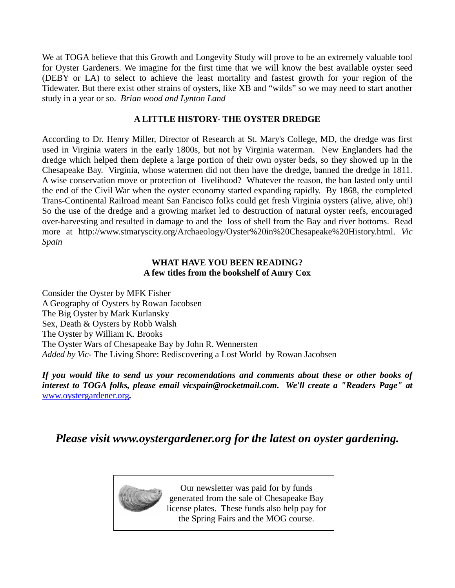We at TOGA believe that this Growth and Longevity Study will prove to be an extremely valuable tool for Oyster Gardeners. We imagine for the first time that we will know the best available oyster seed (DEBY or LA) to select to achieve the least mortality and fastest growth for your region of the Tidewater. But there exist other strains of oysters, like XB and "wilds" so we may need to start another study in a year or so. *Brian wood and Lynton Land* 

#### **A LITTLE HISTORY- THE OYSTER DREDGE**

According to Dr. Henry Miller, Director of Research at St. Mary's College, MD, the dredge was first used in Virginia waters in the early 1800s, but not by Virginia waterman. New Englanders had the dredge which helped them deplete a large portion of their own oyster beds, so they showed up in the Chesapeake Bay. Virginia, whose watermen did not then have the dredge, banned the dredge in 1811. A wise conservation move or protection of livelihood? Whatever the reason, the ban lasted only until the end of the Civil War when the oyster economy started expanding rapidly. By 1868, the completed Trans-Continental Railroad meant San Fancisco folks could get fresh Virginia oysters (alive, alive, oh!) So the use of the dredge and a growing market led to destruction of natural oyster reefs, encouraged over-harvesting and resulted in damage to and the loss of shell from the Bay and river bottoms. Read more at http://www.stmaryscity.org/Archaeology/Oyster%20in%20Chesapeake%20History.html. *Vic Spain* 

#### **WHAT HAVE YOU BEEN READING? A few titles from the bookshelf of Amry Cox**

Consider the Oyster by MFK Fisher A Geography of Oysters by Rowan Jacobsen The Big Oyster by Mark Kurlansky Sex, Death & Oysters by Robb Walsh The Oyster by William K. Brooks The Oyster Wars of Chesapeake Bay by John R. Wennersten *Added by Vic*- The Living Shore: Rediscovering a Lost World by Rowan Jacobsen

*If you would like to send us your recomendations and comments about these or other books of interest to TOGA folks, please email vicspain@rocketmail.com. We'll create a "Readers Page" at*  www.oystergardener.org*.* 

*Please visit www.oystergardener.org for the latest on oyster gardening.* 



Our newsletter was paid for by funds generated from the sale of Chesapeake Bay license plates. These funds also help pay for the Spring Fairs and the MOG course.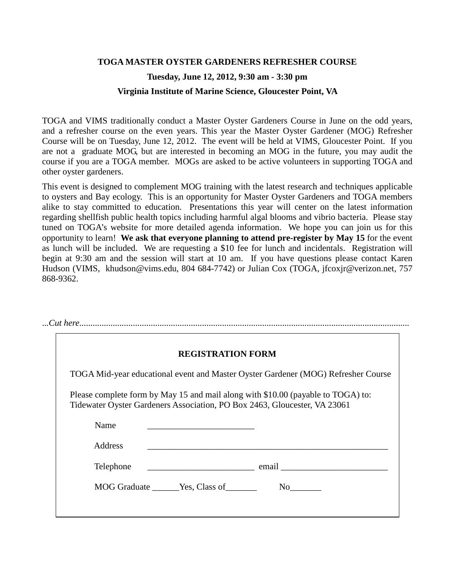# **TOGA MASTER OYSTER GARDENERS REFRESHER COURSE Tuesday, June 12, 2012, 9:30 am - 3:30 pm Virginia Institute of Marine Science, Gloucester Point, VA**

TOGA and VIMS traditionally conduct a Master Oyster Gardeners Course in June on the odd years, and a refresher course on the even years. This year the Master Oyster Gardener (MOG) Refresher Course will be on Tuesday, June 12, 2012. The event will be held at VIMS, Gloucester Point. If you are not a graduate MOG, but are interested in becoming an MOG in the future, you may audit the course if you are a TOGA member. MOGs are asked to be active volunteers in supporting TOGA and other oyster gardeners.

This event is designed to complement MOG training with the latest research and techniques applicable to oysters and Bay ecology. This is an opportunity for Master Oyster Gardeners and TOGA members alike to stay committed to education. Presentations this year will center on the latest information regarding shellfish public health topics including harmful algal blooms and vibrio bacteria. Please stay tuned on TOGA's website for more detailed agenda information. We hope you can join us for this opportunity to learn! **We ask that everyone planning to attend pre-register by May 15** for the event as lunch will be included. We are requesting a \$10 fee for lunch and incidentals. Registration will begin at 9:30 am and the session will start at 10 am. If you have questions please contact Karen Hudson (VIMS, khudson@vims.edu, 804 684-7742) or Julian Cox (TOGA, jfcoxjr@verizon.net, 757 868-9362.

|                | <b>REGISTRATION FORM</b>                                                                                                                                      |
|----------------|---------------------------------------------------------------------------------------------------------------------------------------------------------------|
|                | TOGA Mid-year educational event and Master Oyster Gardener (MOG) Refresher Course                                                                             |
|                | Please complete form by May 15 and mail along with \$10.00 (payable to TOGA) to:<br>Tidewater Oyster Gardeners Association, PO Box 2463, Gloucester, VA 23061 |
|                |                                                                                                                                                               |
| Name           | <u> 1989 - Johann John Stone, market fransk politiker (</u>                                                                                                   |
| <b>Address</b> |                                                                                                                                                               |
|                | Telephone email email email                                                                                                                                   |